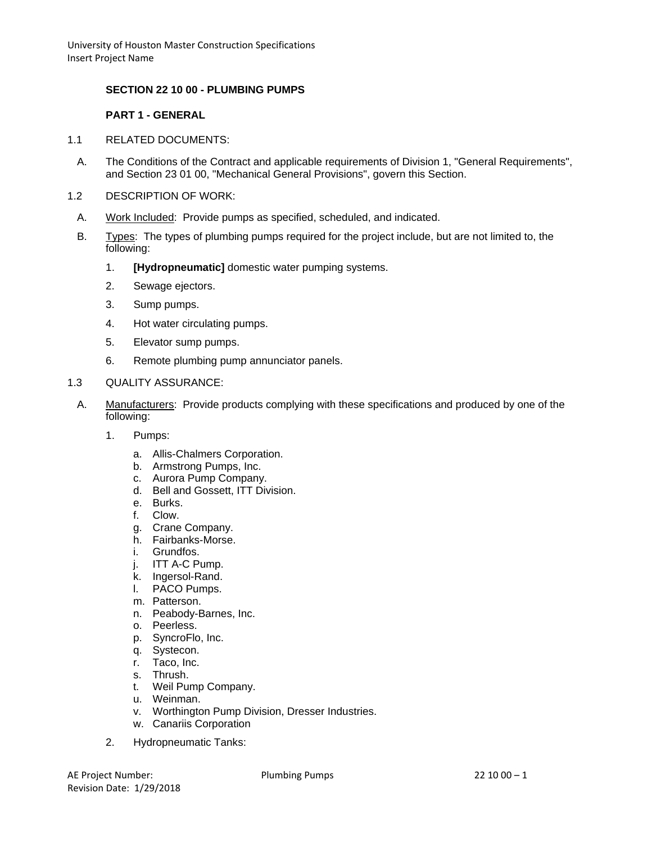### **SECTION 22 10 00 - PLUMBING PUMPS**

## **PART 1 - GENERAL**

- 1.1 RELATED DOCUMENTS:
	- A. The Conditions of the Contract and applicable requirements of Division 1, "General Requirements", and Section 23 01 00, "Mechanical General Provisions", govern this Section.
- 1.2 DESCRIPTION OF WORK:
	- A. Work Included: Provide pumps as specified, scheduled, and indicated.
	- B. Types: The types of plumbing pumps required for the project include, but are not limited to, the following:
		- 1. **[Hydropneumatic]** domestic water pumping systems.
		- 2. Sewage ejectors.
		- 3. Sump pumps.
		- 4. Hot water circulating pumps.
		- 5. Elevator sump pumps.
		- 6. Remote plumbing pump annunciator panels.

#### 1.3 QUALITY ASSURANCE:

- A. Manufacturers: Provide products complying with these specifications and produced by one of the following:
	- 1. Pumps:
		- a. Allis-Chalmers Corporation.
		- b. Armstrong Pumps, Inc.
		- c. Aurora Pump Company.
		- d. Bell and Gossett, ITT Division.
		- e. Burks.
		- f. Clow.
		- g. Crane Company.
		- h. Fairbanks-Morse.
		- i. Grundfos.
		- j. ITT A-C Pump.
		- k. Ingersol-Rand.
		- l. PACO Pumps.
		- m. Patterson.
		- n. Peabody-Barnes, Inc.
		- o. Peerless.
		- p. SyncroFlo, Inc.
		- q. Systecon.
		- r. Taco, Inc.
		- s. Thrush.
		- t. Weil Pump Company.
		- u. Weinman.
		- v. Worthington Pump Division, Dresser Industries.
		- w. Canariis Corporation
	- 2. Hydropneumatic Tanks: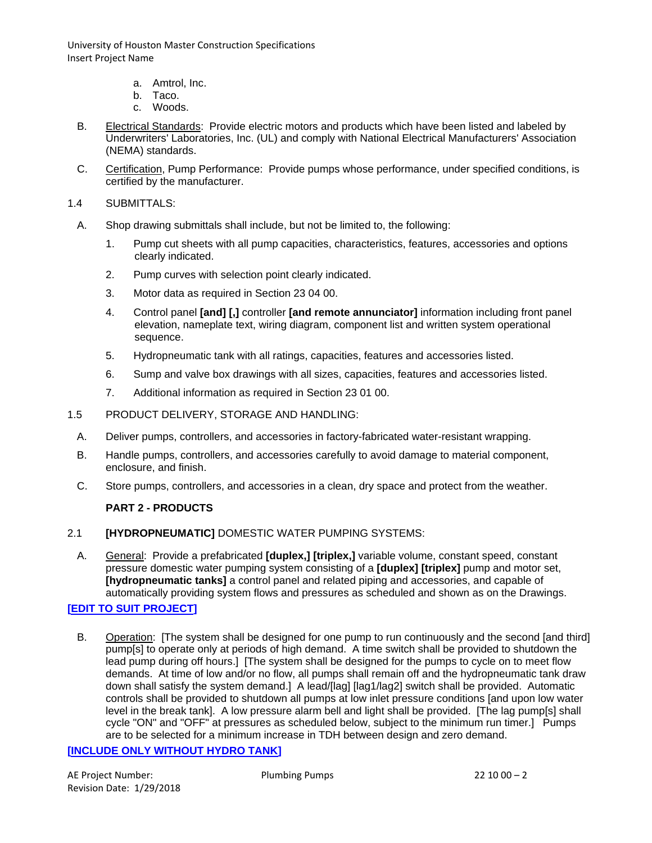- a. Amtrol, Inc.
- b. Taco.
- c. Woods.
- B. Electrical Standards: Provide electric motors and products which have been listed and labeled by Underwriters' Laboratories, Inc. (UL) and comply with National Electrical Manufacturers' Association (NEMA) standards.
- C. Certification, Pump Performance: Provide pumps whose performance, under specified conditions, is certified by the manufacturer.
- 1.4 SUBMITTALS:
- A. Shop drawing submittals shall include, but not be limited to, the following:
	- 1. Pump cut sheets with all pump capacities, characteristics, features, accessories and options clearly indicated.
	- 2. Pump curves with selection point clearly indicated.
	- 3. Motor data as required in Section 23 04 00.
	- 4. Control panel **[and] [,]** controller **[and remote annunciator]** information including front panel elevation, nameplate text, wiring diagram, component list and written system operational sequence.
	- 5. Hydropneumatic tank with all ratings, capacities, features and accessories listed.
	- 6. Sump and valve box drawings with all sizes, capacities, features and accessories listed.
	- 7. Additional information as required in Section 23 01 00.
- 1.5 PRODUCT DELIVERY, STORAGE AND HANDLING:
	- A. Deliver pumps, controllers, and accessories in factory-fabricated water-resistant wrapping.
	- B. Handle pumps, controllers, and accessories carefully to avoid damage to material component, enclosure, and finish.
	- C. Store pumps, controllers, and accessories in a clean, dry space and protect from the weather.

#### **PART 2 - PRODUCTS**

#### 2.1 **[HYDROPNEUMATIC]** DOMESTIC WATER PUMPING SYSTEMS:

A. General: Provide a prefabricated **[duplex,] [triplex,]** variable volume, constant speed, constant pressure domestic water pumping system consisting of a **[duplex] [triplex]** pump and motor set, **[hydropneumatic tanks]** a control panel and related piping and accessories, and capable of automatically providing system flows and pressures as scheduled and shown as on the Drawings.

## **[EDIT TO SUIT PROJECT]**

B. Operation: [The system shall be designed for one pump to run continuously and the second [and third] pump[s] to operate only at periods of high demand. A time switch shall be provided to shutdown the lead pump during off hours.] [The system shall be designed for the pumps to cycle on to meet flow demands. At time of low and/or no flow, all pumps shall remain off and the hydropneumatic tank draw down shall satisfy the system demand.] A lead/[lag] [lag1/lag2] switch shall be provided. Automatic controls shall be provided to shutdown all pumps at low inlet pressure conditions [and upon low water level in the break tank]. A low pressure alarm bell and light shall be provided. [The lag pump[s] shall cycle "ON" and "OFF" at pressures as scheduled below, subject to the minimum run timer.] Pumps are to be selected for a minimum increase in TDH between design and zero demand.

#### **[INCLUDE ONLY WITHOUT HYDRO TANK]**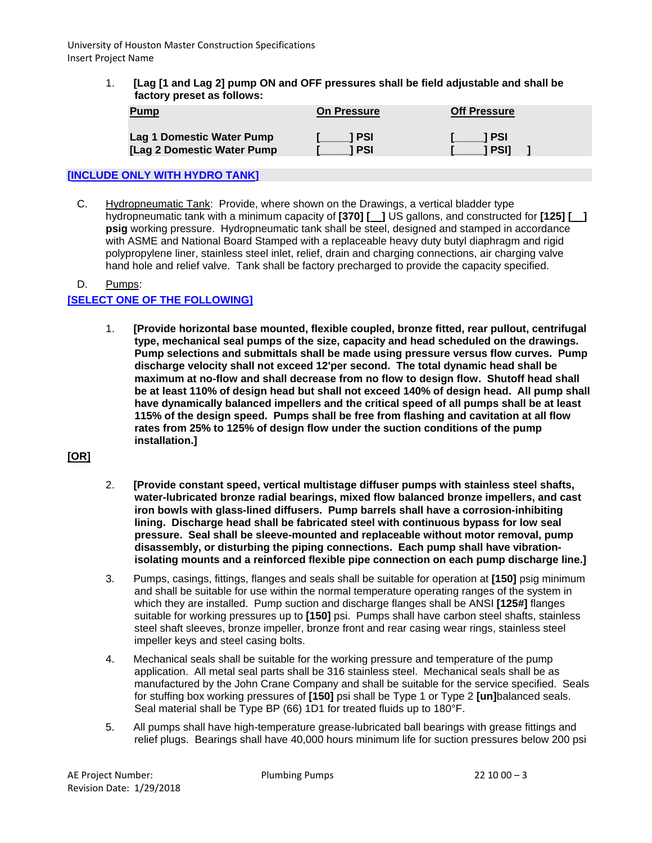> 1. **[Lag [1 and Lag 2] pump ON and OFF pressures shall be field adjustable and shall be factory preset as follows:**

| <u>Pump</u>                | <b>On Pressure</b> | <b>Off Pressure</b> |
|----------------------------|--------------------|---------------------|
| Lag 1 Domestic Water Pump  | 1 PSI              | 1 PSI               |
| [Lag 2 Domestic Water Pump | 1 PSI              | 1 PSI1              |

## **[INCLUDE ONLY WITH HYDRO TANK]**

C. Hydropneumatic Tank: Provide, where shown on the Drawings, a vertical bladder type hydropneumatic tank with a minimum capacity of **[370] [ ]** US gallons, and constructed for **[125] [ ] psig** working pressure. Hydropneumatic tank shall be steel, designed and stamped in accordance with ASME and National Board Stamped with a replaceable heavy duty butyl diaphragm and rigid polypropylene liner, stainless steel inlet, relief, drain and charging connections, air charging valve hand hole and relief valve. Tank shall be factory precharged to provide the capacity specified.

## D. Pumps: **[SELECT ONE OF THE FOLLOWING]**

1. **[Provide horizontal base mounted, flexible coupled, bronze fitted, rear pullout, centrifugal type, mechanical seal pumps of the size, capacity and head scheduled on the drawings. Pump selections and submittals shall be made using pressure versus flow curves. Pump discharge velocity shall not exceed 12'per second. The total dynamic head shall be maximum at no-flow and shall decrease from no flow to design flow. Shutoff head shall be at least 110% of design head but shall not exceed 140% of design head. All pump shall have dynamically balanced impellers and the critical speed of all pumps shall be at least 115% of the design speed. Pumps shall be free from flashing and cavitation at all flow rates from 25% to 125% of design flow under the suction conditions of the pump installation.]**

# **[OR]**

- 2. **[Provide constant speed, vertical multistage diffuser pumps with stainless steel shafts, water-lubricated bronze radial bearings, mixed flow balanced bronze impellers, and cast iron bowls with glass-lined diffusers. Pump barrels shall have a corrosion-inhibiting lining. Discharge head shall be fabricated steel with continuous bypass for low seal pressure. Seal shall be sleeve-mounted and replaceable without motor removal, pump disassembly, or disturbing the piping connections. Each pump shall have vibrationisolating mounts and a reinforced flexible pipe connection on each pump discharge line.]**
- 3. Pumps, casings, fittings, flanges and seals shall be suitable for operation at **[150]** psig minimum and shall be suitable for use within the normal temperature operating ranges of the system in which they are installed. Pump suction and discharge flanges shall be ANSI **[125#]** flanges suitable for working pressures up to **[150]** psi. Pumps shall have carbon steel shafts, stainless steel shaft sleeves, bronze impeller, bronze front and rear casing wear rings, stainless steel impeller keys and steel casing bolts.
- 4. Mechanical seals shall be suitable for the working pressure and temperature of the pump application. All metal seal parts shall be 316 stainless steel. Mechanical seals shall be as manufactured by the John Crane Company and shall be suitable for the service specified. Seals for stuffing box working pressures of **[150]** psi shall be Type 1 or Type 2 **[un]**balanced seals. Seal material shall be Type BP (66) 1D1 for treated fluids up to 180°F.
- 5. All pumps shall have high-temperature grease-lubricated ball bearings with grease fittings and relief plugs. Bearings shall have 40,000 hours minimum life for suction pressures below 200 psi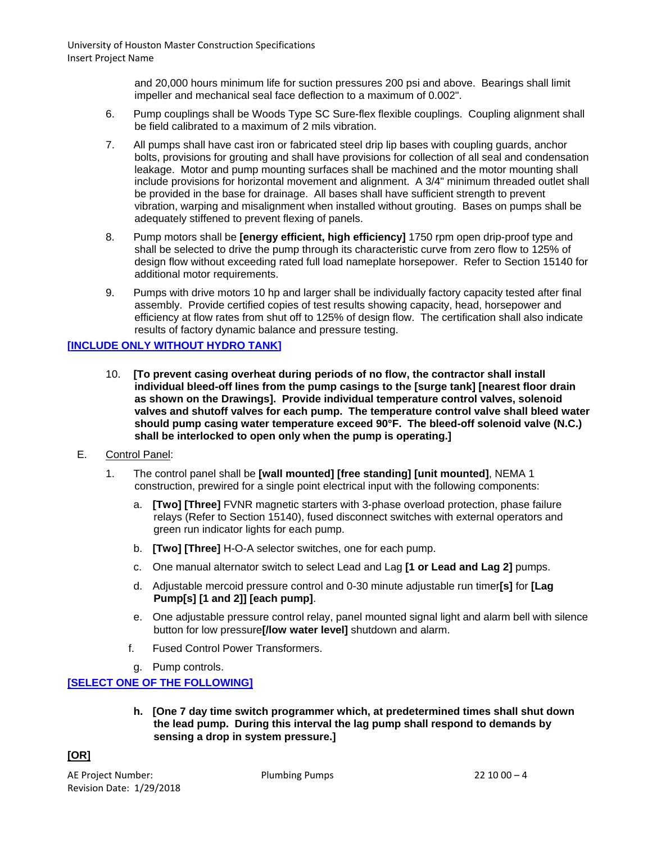> and 20,000 hours minimum life for suction pressures 200 psi and above. Bearings shall limit impeller and mechanical seal face deflection to a maximum of 0.002".

- 6. Pump couplings shall be Woods Type SC Sure-flex flexible couplings. Coupling alignment shall be field calibrated to a maximum of 2 mils vibration.
- 7. All pumps shall have cast iron or fabricated steel drip lip bases with coupling guards, anchor bolts, provisions for grouting and shall have provisions for collection of all seal and condensation leakage. Motor and pump mounting surfaces shall be machined and the motor mounting shall include provisions for horizontal movement and alignment. A 3/4" minimum threaded outlet shall be provided in the base for drainage. All bases shall have sufficient strength to prevent vibration, warping and misalignment when installed without grouting. Bases on pumps shall be adequately stiffened to prevent flexing of panels.
- 8. Pump motors shall be **[energy efficient, high efficiency]** 1750 rpm open drip-proof type and shall be selected to drive the pump through its characteristic curve from zero flow to 125% of design flow without exceeding rated full load nameplate horsepower. Refer to Section 15140 for additional motor requirements.
- 9. Pumps with drive motors 10 hp and larger shall be individually factory capacity tested after final assembly. Provide certified copies of test results showing capacity, head, horsepower and efficiency at flow rates from shut off to 125% of design flow. The certification shall also indicate results of factory dynamic balance and pressure testing.

### **[INCLUDE ONLY WITHOUT HYDRO TANK]**

- 10. **[To prevent casing overheat during periods of no flow, the contractor shall install individual bleed-off lines from the pump casings to the [surge tank] [nearest floor drain as shown on the Drawings]. Provide individual temperature control valves, solenoid valves and shutoff valves for each pump. The temperature control valve shall bleed water should pump casing water temperature exceed 90°F. The bleed-off solenoid valve (N.C.) shall be interlocked to open only when the pump is operating.]**
- E. Control Panel:
	- 1. The control panel shall be **[wall mounted] [free standing] [unit mounted]**, NEMA 1 construction, prewired for a single point electrical input with the following components:
		- a. **[Two] [Three]** FVNR magnetic starters with 3-phase overload protection, phase failure relays (Refer to Section 15140), fused disconnect switches with external operators and green run indicator lights for each pump.
		- b. **[Two] [Three]** H-O-A selector switches, one for each pump.
		- c. One manual alternator switch to select Lead and Lag **[1 or Lead and Lag 2]** pumps.
		- d. Adjustable mercoid pressure control and 0-30 minute adjustable run timer**[s]** for **[Lag Pump[s] [1 and 2]] [each pump]**.
		- e. One adjustable pressure control relay, panel mounted signal light and alarm bell with silence button for low pressure**[/low water level]** shutdown and alarm.
		- f. Fused Control Power Transformers.
		- g. Pump controls.

#### **[SELECT ONE OF THE FOLLOWING]**

**h. [One 7 day time switch programmer which, at predetermined times shall shut down the lead pump. During this interval the lag pump shall respond to demands by sensing a drop in system pressure.]**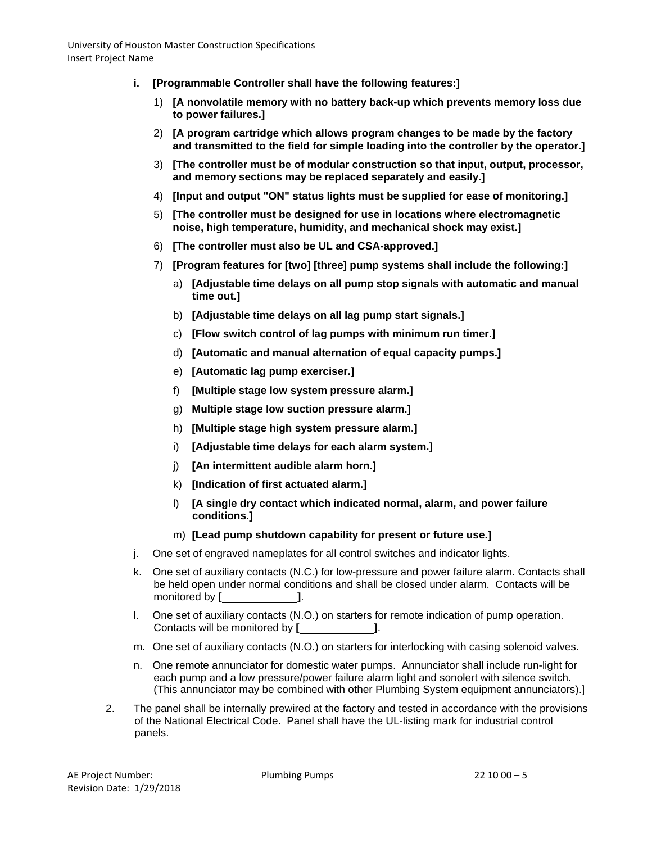- **i. [Programmable Controller shall have the following features:]**
	- 1) **[A nonvolatile memory with no battery back-up which prevents memory loss due to power failures.]**
	- 2) **[A program cartridge which allows program changes to be made by the factory and transmitted to the field for simple loading into the controller by the operator.]**
	- 3) **[The controller must be of modular construction so that input, output, processor, and memory sections may be replaced separately and easily.]**
	- 4) **[Input and output "ON" status lights must be supplied for ease of monitoring.]**
	- 5) **[The controller must be designed for use in locations where electromagnetic noise, high temperature, humidity, and mechanical shock may exist.]**
	- 6) **[The controller must also be UL and CSA-approved.]**
	- 7) **[Program features for [two] [three] pump systems shall include the following:]**
		- a) **[Adjustable time delays on all pump stop signals with automatic and manual time out.]**
		- b) **[Adjustable time delays on all lag pump start signals.]**
		- c) **[Flow switch control of lag pumps with minimum run timer.]**
		- d) **[Automatic and manual alternation of equal capacity pumps.]**
		- e) **[Automatic lag pump exerciser.]**
		- f) **[Multiple stage low system pressure alarm.]**
		- g) **Multiple stage low suction pressure alarm.]**
		- h) **[Multiple stage high system pressure alarm.]**
		- i) **[Adjustable time delays for each alarm system.]**
		- j) **[An intermittent audible alarm horn.]**
		- k) **[Indication of first actuated alarm.]**
		- l) **[A single dry contact which indicated normal, alarm, and power failure conditions.]**
		- m) **[Lead pump shutdown capability for present or future use.]**
- j. One set of engraved nameplates for all control switches and indicator lights.
- k. One set of auxiliary contacts (N.C.) for low-pressure and power failure alarm. Contacts shall be held open under normal conditions and shall be closed under alarm. Contacts will be monitored by **[ ]**.
- l. One set of auxiliary contacts (N.O.) on starters for remote indication of pump operation. Contacts will be monitored by **[ ]**.
- m. One set of auxiliary contacts (N.O.) on starters for interlocking with casing solenoid valves.
- n. One remote annunciator for domestic water pumps. Annunciator shall include run-light for each pump and a low pressure/power failure alarm light and sonolert with silence switch. (This annunciator may be combined with other Plumbing System equipment annunciators).]
- 2. The panel shall be internally prewired at the factory and tested in accordance with the provisions of the National Electrical Code. Panel shall have the UL-listing mark for industrial control panels.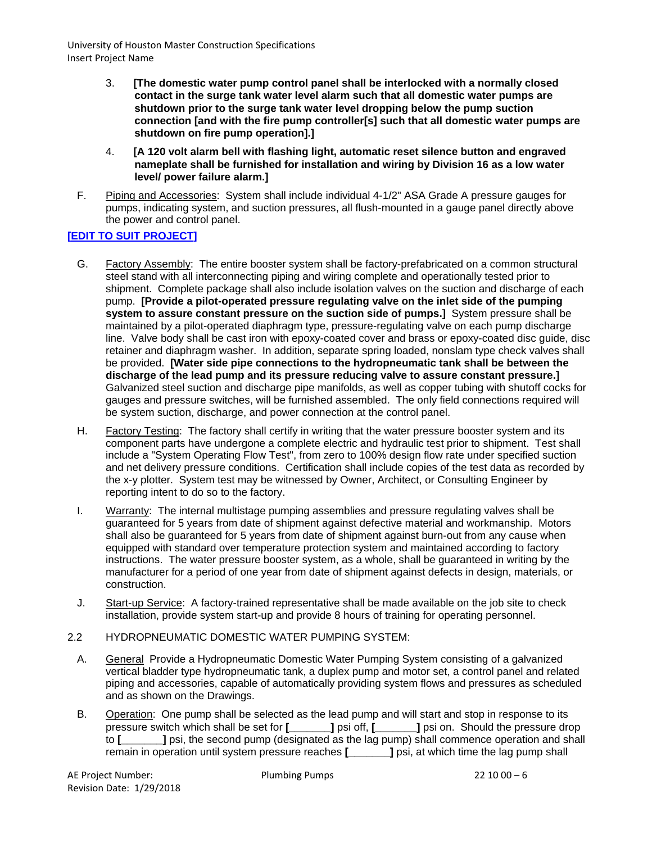- 3. **[The domestic water pump control panel shall be interlocked with a normally closed contact in the surge tank water level alarm such that all domestic water pumps are shutdown prior to the surge tank water level dropping below the pump suction connection [and with the fire pump controller[s] such that all domestic water pumps are shutdown on fire pump operation].]**
- 4. **[A 120 volt alarm bell with flashing light, automatic reset silence button and engraved nameplate shall be furnished for installation and wiring by Division 16 as a low water level/ power failure alarm.]**
- F. Piping and Accessories: System shall include individual 4-1/2" ASA Grade A pressure gauges for pumps, indicating system, and suction pressures, all flush-mounted in a gauge panel directly above the power and control panel.

## **[EDIT TO SUIT PROJECT]**

- G. Factory Assembly: The entire booster system shall be factory-prefabricated on a common structural steel stand with all interconnecting piping and wiring complete and operationally tested prior to shipment. Complete package shall also include isolation valves on the suction and discharge of each pump. **[Provide a pilot-operated pressure regulating valve on the inlet side of the pumping system to assure constant pressure on the suction side of pumps.]** System pressure shall be maintained by a pilot-operated diaphragm type, pressure-regulating valve on each pump discharge line. Valve body shall be cast iron with epoxy-coated cover and brass or epoxy-coated disc guide, disc retainer and diaphragm washer. In addition, separate spring loaded, nonslam type check valves shall be provided. **[Water side pipe connections to the hydropneumatic tank shall be between the discharge of the lead pump and its pressure reducing valve to assure constant pressure.]**  Galvanized steel suction and discharge pipe manifolds, as well as copper tubing with shutoff cocks for gauges and pressure switches, will be furnished assembled. The only field connections required will be system suction, discharge, and power connection at the control panel.
- H. Factory Testing: The factory shall certify in writing that the water pressure booster system and its component parts have undergone a complete electric and hydraulic test prior to shipment. Test shall include a "System Operating Flow Test", from zero to 100% design flow rate under specified suction and net delivery pressure conditions. Certification shall include copies of the test data as recorded by the x-y plotter. System test may be witnessed by Owner, Architect, or Consulting Engineer by reporting intent to do so to the factory.
- I. Warranty: The internal multistage pumping assemblies and pressure regulating valves shall be guaranteed for 5 years from date of shipment against defective material and workmanship. Motors shall also be guaranteed for 5 years from date of shipment against burn-out from any cause when equipped with standard over temperature protection system and maintained according to factory instructions. The water pressure booster system, as a whole, shall be guaranteed in writing by the manufacturer for a period of one year from date of shipment against defects in design, materials, or construction.
- J. Start-up Service: A factory-trained representative shall be made available on the job site to check installation, provide system start-up and provide 8 hours of training for operating personnel.
- 2.2 HYDROPNEUMATIC DOMESTIC WATER PUMPING SYSTEM:
	- A. General Provide a Hydropneumatic Domestic Water Pumping System consisting of a galvanized vertical bladder type hydropneumatic tank, a duplex pump and motor set, a control panel and related piping and accessories, capable of automatically providing system flows and pressures as scheduled and as shown on the Drawings.
	- B. Operation: One pump shall be selected as the lead pump and will start and stop in response to its pressure switch which shall be set for **[\_\_\_\_\_\_\_]** psi off, **[\_\_\_\_\_\_\_]** psi on. Should the pressure drop to **[2004]** psi, the second pump (designated as the lag pump) shall commence operation and shall remain in operation until system pressure reaches **[\_\_\_\_\_\_\_]** psi, at which time the lag pump shall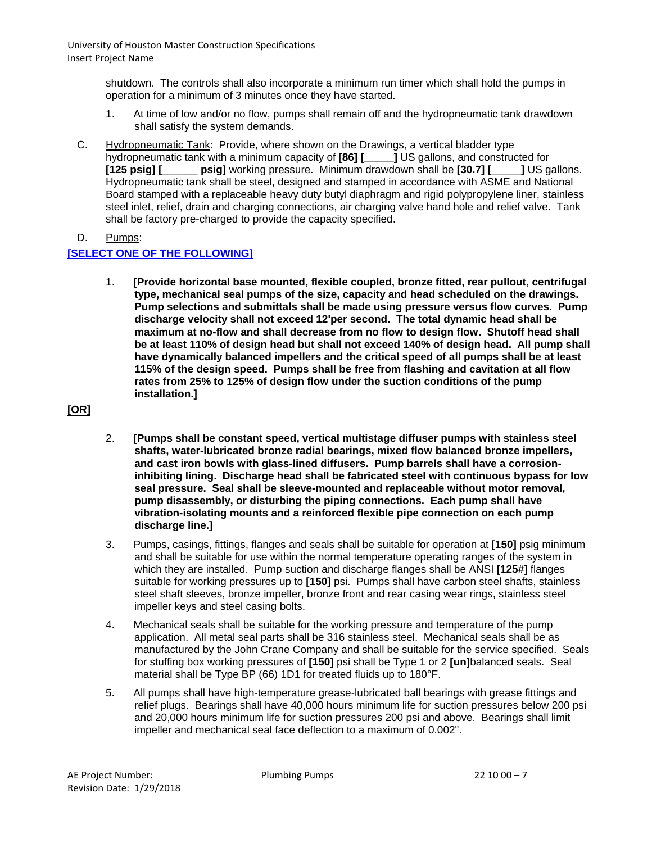> shutdown. The controls shall also incorporate a minimum run timer which shall hold the pumps in operation for a minimum of 3 minutes once they have started.

- 1. At time of low and/or no flow, pumps shall remain off and the hydropneumatic tank drawdown shall satisfy the system demands.
- C. Hydropneumatic Tank: Provide, where shown on the Drawings, a vertical bladder type hydropneumatic tank with a minimum capacity of **[86] [\_\_\_\_\_]** US gallons, and constructed for **[125 psiq] [125 psiq] i** US gallons, and constructed for **[125 psig] [\_\_\_\_\_\_ psig]** working pressure. Minimum drawdown shall be **[30.7] [\_\_\_\_\_]** US gallons. Hydropneumatic tank shall be steel, designed and stamped in accordance with ASME and National Board stamped with a replaceable heavy duty butyl diaphragm and rigid polypropylene liner, stainless steel inlet, relief, drain and charging connections, air charging valve hand hole and relief valve. Tank shall be factory pre-charged to provide the capacity specified.

D. Pumps:

#### **[SELECT ONE OF THE FOLLOWING]**

1. **[Provide horizontal base mounted, flexible coupled, bronze fitted, rear pullout, centrifugal type, mechanical seal pumps of the size, capacity and head scheduled on the drawings. Pump selections and submittals shall be made using pressure versus flow curves. Pump discharge velocity shall not exceed 12'per second. The total dynamic head shall be maximum at no-flow and shall decrease from no flow to design flow. Shutoff head shall be at least 110% of design head but shall not exceed 140% of design head. All pump shall have dynamically balanced impellers and the critical speed of all pumps shall be at least 115% of the design speed. Pumps shall be free from flashing and cavitation at all flow rates from 25% to 125% of design flow under the suction conditions of the pump installation.]**

## **[OR]**

- 2. **[Pumps shall be constant speed, vertical multistage diffuser pumps with stainless steel shafts, water-lubricated bronze radial bearings, mixed flow balanced bronze impellers, and cast iron bowls with glass-lined diffusers. Pump barrels shall have a corrosioninhibiting lining. Discharge head shall be fabricated steel with continuous bypass for low seal pressure. Seal shall be sleeve-mounted and replaceable without motor removal, pump disassembly, or disturbing the piping connections. Each pump shall have vibration-isolating mounts and a reinforced flexible pipe connection on each pump discharge line.]**
- 3. Pumps, casings, fittings, flanges and seals shall be suitable for operation at **[150]** psig minimum and shall be suitable for use within the normal temperature operating ranges of the system in which they are installed. Pump suction and discharge flanges shall be ANSI **[125#]** flanges suitable for working pressures up to **[150]** psi. Pumps shall have carbon steel shafts, stainless steel shaft sleeves, bronze impeller, bronze front and rear casing wear rings, stainless steel impeller keys and steel casing bolts.
- 4. Mechanical seals shall be suitable for the working pressure and temperature of the pump application. All metal seal parts shall be 316 stainless steel. Mechanical seals shall be as manufactured by the John Crane Company and shall be suitable for the service specified. Seals for stuffing box working pressures of **[150]** psi shall be Type 1 or 2 **[un]**balanced seals. Seal material shall be Type BP (66) 1D1 for treated fluids up to 180°F.
- 5. All pumps shall have high-temperature grease-lubricated ball bearings with grease fittings and relief plugs. Bearings shall have 40,000 hours minimum life for suction pressures below 200 psi and 20,000 hours minimum life for suction pressures 200 psi and above. Bearings shall limit impeller and mechanical seal face deflection to a maximum of 0.002".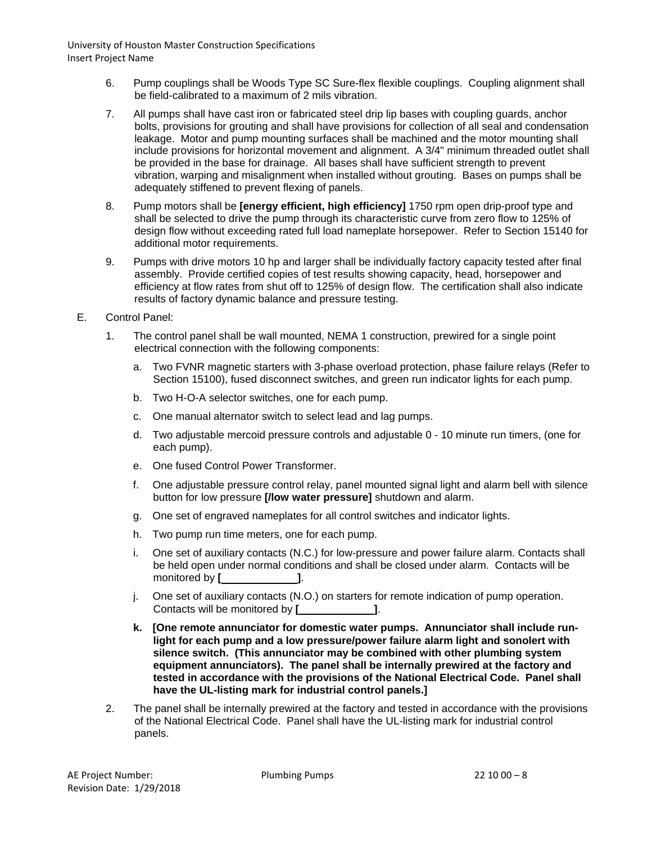- 6. Pump couplings shall be Woods Type SC Sure-flex flexible couplings. Coupling alignment shall be field-calibrated to a maximum of 2 mils vibration.
- 7. All pumps shall have cast iron or fabricated steel drip lip bases with coupling guards, anchor bolts, provisions for grouting and shall have provisions for collection of all seal and condensation leakage. Motor and pump mounting surfaces shall be machined and the motor mounting shall include provisions for horizontal movement and alignment. A 3/4" minimum threaded outlet shall be provided in the base for drainage. All bases shall have sufficient strength to prevent vibration, warping and misalignment when installed without grouting. Bases on pumps shall be adequately stiffened to prevent flexing of panels.
- 8. Pump motors shall be **[energy efficient, high efficiency]** 1750 rpm open drip-proof type and shall be selected to drive the pump through its characteristic curve from zero flow to 125% of design flow without exceeding rated full load nameplate horsepower. Refer to Section 15140 for additional motor requirements.
- 9. Pumps with drive motors 10 hp and larger shall be individually factory capacity tested after final assembly. Provide certified copies of test results showing capacity, head, horsepower and efficiency at flow rates from shut off to 125% of design flow. The certification shall also indicate results of factory dynamic balance and pressure testing.
- E. Control Panel:
	- 1. The control panel shall be wall mounted, NEMA 1 construction, prewired for a single point electrical connection with the following components:
		- a. Two FVNR magnetic starters with 3-phase overload protection, phase failure relays (Refer to Section 15100), fused disconnect switches, and green run indicator lights for each pump.
		- b. Two H-O-A selector switches, one for each pump.
		- c. One manual alternator switch to select lead and lag pumps.
		- d. Two adjustable mercoid pressure controls and adjustable 0 10 minute run timers, (one for each pump).
		- e. One fused Control Power Transformer.
		- f. One adjustable pressure control relay, panel mounted signal light and alarm bell with silence button for low pressure **[/low water pressure]** shutdown and alarm.
		- g. One set of engraved nameplates for all control switches and indicator lights.
		- h. Two pump run time meters, one for each pump.
		- i. One set of auxiliary contacts (N.C.) for low-pressure and power failure alarm. Contacts shall be held open under normal conditions and shall be closed under alarm. Contacts will be monitored by **[ ]**.
		- j. One set of auxiliary contacts (N.O.) on starters for remote indication of pump operation. Contacts will be monitored by **[ ]**.
		- **k. [One remote annunciator for domestic water pumps. Annunciator shall include runlight for each pump and a low pressure/power failure alarm light and sonolert with silence switch. (This annunciator may be combined with other plumbing system equipment annunciators). The panel shall be internally prewired at the factory and tested in accordance with the provisions of the National Electrical Code. Panel shall have the UL-listing mark for industrial control panels.]**
	- 2. The panel shall be internally prewired at the factory and tested in accordance with the provisions of the National Electrical Code. Panel shall have the UL-listing mark for industrial control panels.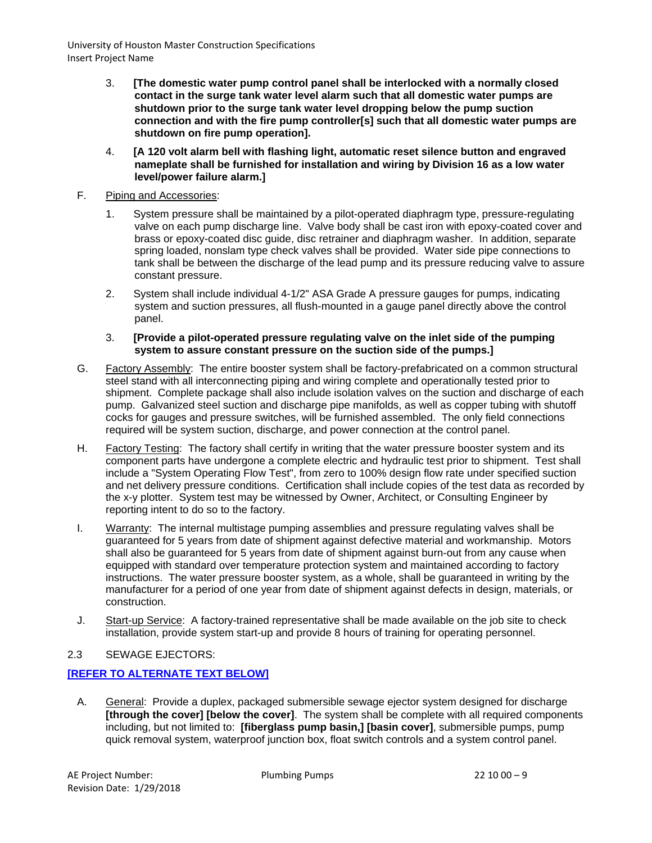- 3. **[The domestic water pump control panel shall be interlocked with a normally closed contact in the surge tank water level alarm such that all domestic water pumps are shutdown prior to the surge tank water level dropping below the pump suction connection and with the fire pump controller[s] such that all domestic water pumps are shutdown on fire pump operation].**
- 4. **[A 120 volt alarm bell with flashing light, automatic reset silence button and engraved nameplate shall be furnished for installation and wiring by Division 16 as a low water level/power failure alarm.]**
- F. Piping and Accessories:
	- 1. System pressure shall be maintained by a pilot-operated diaphragm type, pressure-regulating valve on each pump discharge line. Valve body shall be cast iron with epoxy-coated cover and brass or epoxy-coated disc guide, disc retrainer and diaphragm washer. In addition, separate spring loaded, nonslam type check valves shall be provided. Water side pipe connections to tank shall be between the discharge of the lead pump and its pressure reducing valve to assure constant pressure.
	- 2. System shall include individual 4-1/2" ASA Grade A pressure gauges for pumps, indicating system and suction pressures, all flush-mounted in a gauge panel directly above the control panel.
	- 3. **[Provide a pilot-operated pressure regulating valve on the inlet side of the pumping system to assure constant pressure on the suction side of the pumps.]**
- G. Factory Assembly: The entire booster system shall be factory-prefabricated on a common structural steel stand with all interconnecting piping and wiring complete and operationally tested prior to shipment. Complete package shall also include isolation valves on the suction and discharge of each pump. Galvanized steel suction and discharge pipe manifolds, as well as copper tubing with shutoff cocks for gauges and pressure switches, will be furnished assembled. The only field connections required will be system suction, discharge, and power connection at the control panel.
- H. Factory Testing: The factory shall certify in writing that the water pressure booster system and its component parts have undergone a complete electric and hydraulic test prior to shipment. Test shall include a "System Operating Flow Test", from zero to 100% design flow rate under specified suction and net delivery pressure conditions. Certification shall include copies of the test data as recorded by the x-y plotter. System test may be witnessed by Owner, Architect, or Consulting Engineer by reporting intent to do so to the factory.
- I. Warranty: The internal multistage pumping assemblies and pressure regulating valves shall be guaranteed for 5 years from date of shipment against defective material and workmanship. Motors shall also be guaranteed for 5 years from date of shipment against burn-out from any cause when equipped with standard over temperature protection system and maintained according to factory instructions. The water pressure booster system, as a whole, shall be guaranteed in writing by the manufacturer for a period of one year from date of shipment against defects in design, materials, or construction.
- J. Start-up Service: A factory-trained representative shall be made available on the job site to check installation, provide system start-up and provide 8 hours of training for operating personnel.

# 2.3 SEWAGE EJECTORS:

# **[REFER TO ALTERNATE TEXT BELOW]**

A. General: Provide a duplex, packaged submersible sewage ejector system designed for discharge **[through the cover] [below the cover]**. The system shall be complete with all required components including, but not limited to: **[fiberglass pump basin,] [basin cover]**, submersible pumps, pump quick removal system, waterproof junction box, float switch controls and a system control panel.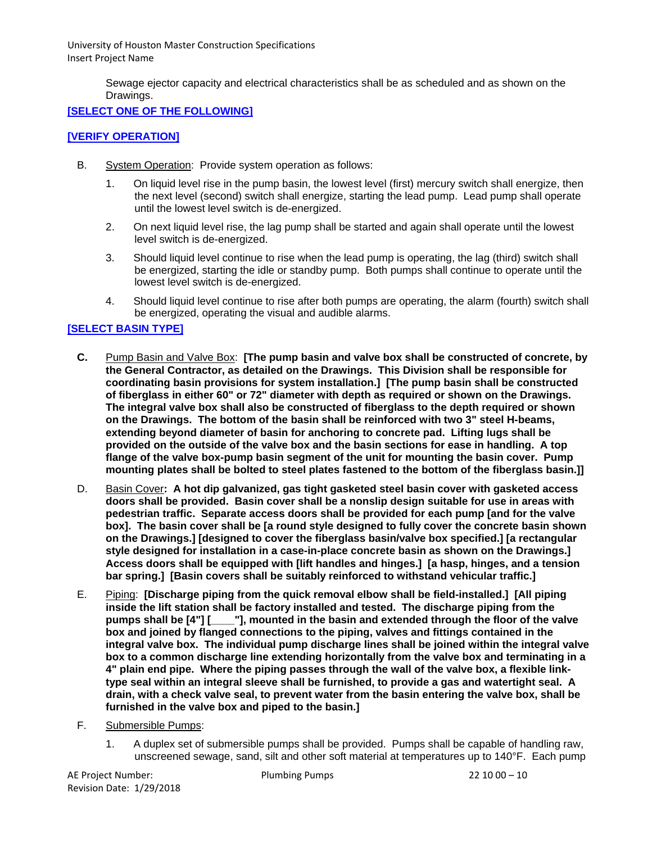Sewage ejector capacity and electrical characteristics shall be as scheduled and as shown on the Drawings.

# **[SELECT ONE OF THE FOLLOWING]**

## **[VERIFY OPERATION]**

- B. System Operation: Provide system operation as follows:
	- 1. On liquid level rise in the pump basin, the lowest level (first) mercury switch shall energize, then the next level (second) switch shall energize, starting the lead pump. Lead pump shall operate until the lowest level switch is de-energized.
	- 2. On next liquid level rise, the lag pump shall be started and again shall operate until the lowest level switch is de-energized.
	- 3. Should liquid level continue to rise when the lead pump is operating, the lag (third) switch shall be energized, starting the idle or standby pump. Both pumps shall continue to operate until the lowest level switch is de-energized.
	- 4. Should liquid level continue to rise after both pumps are operating, the alarm (fourth) switch shall be energized, operating the visual and audible alarms.

# **[SELECT BASIN TYPE]**

- **C.** Pump Basin and Valve Box: **[The pump basin and valve box shall be constructed of concrete, by the General Contractor, as detailed on the Drawings. This Division shall be responsible for coordinating basin provisions for system installation.] [The pump basin shall be constructed of fiberglass in either 60" or 72" diameter with depth as required or shown on the Drawings. The integral valve box shall also be constructed of fiberglass to the depth required or shown on the Drawings. The bottom of the basin shall be reinforced with two 3" steel H-beams, extending beyond diameter of basin for anchoring to concrete pad. Lifting lugs shall be provided on the outside of the valve box and the basin sections for ease in handling. A top flange of the valve box-pump basin segment of the unit for mounting the basin cover. Pump mounting plates shall be bolted to steel plates fastened to the bottom of the fiberglass basin.]]**
- D. Basin Cover**: A hot dip galvanized, gas tight gasketed steel basin cover with gasketed access doors shall be provided. Basin cover shall be a nonslip design suitable for use in areas with pedestrian traffic. Separate access doors shall be provided for each pump [and for the valve box]. The basin cover shall be [a round style designed to fully cover the concrete basin shown on the Drawings.] [designed to cover the fiberglass basin/valve box specified.] [a rectangular style designed for installation in a case-in-place concrete basin as shown on the Drawings.] Access doors shall be equipped with [lift handles and hinges.] [a hasp, hinges, and a tension bar spring.] [Basin covers shall be suitably reinforced to withstand vehicular traffic.]**
- E. Piping: **[Discharge piping from the quick removal elbow shall be field-installed.] [All piping inside the lift station shall be factory installed and tested. The discharge piping from the pumps shall be [4"] [\_\_\_\_"], mounted in the basin and extended through the floor of the valve box and joined by flanged connections to the piping, valves and fittings contained in the integral valve box. The individual pump discharge lines shall be joined within the integral valve box to a common discharge line extending horizontally from the valve box and terminating in a 4" plain end pipe. Where the piping passes through the wall of the valve box, a flexible linktype seal within an integral sleeve shall be furnished, to provide a gas and watertight seal. A drain, with a check valve seal, to prevent water from the basin entering the valve box, shall be furnished in the valve box and piped to the basin.]**
- F. Submersible Pumps:
	- 1. A duplex set of submersible pumps shall be provided. Pumps shall be capable of handling raw, unscreened sewage, sand, silt and other soft material at temperatures up to 140°F. Each pump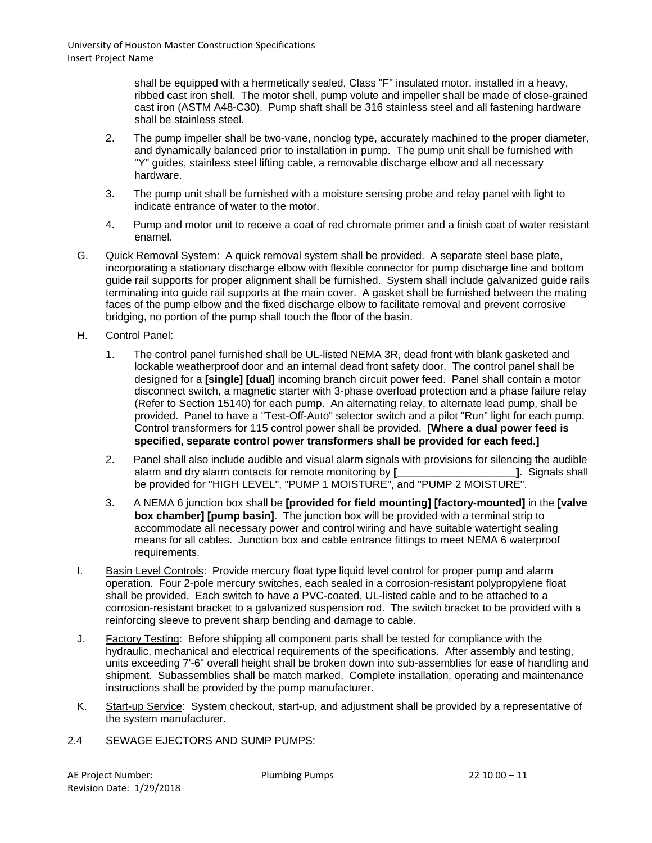> shall be equipped with a hermetically sealed, Class "F" insulated motor, installed in a heavy, ribbed cast iron shell. The motor shell, pump volute and impeller shall be made of close-grained cast iron (ASTM A48-C30). Pump shaft shall be 316 stainless steel and all fastening hardware shall be stainless steel.

- 2. The pump impeller shall be two-vane, nonclog type, accurately machined to the proper diameter, and dynamically balanced prior to installation in pump. The pump unit shall be furnished with "Y" guides, stainless steel lifting cable, a removable discharge elbow and all necessary hardware.
- 3. The pump unit shall be furnished with a moisture sensing probe and relay panel with light to indicate entrance of water to the motor.
- 4. Pump and motor unit to receive a coat of red chromate primer and a finish coat of water resistant enamel.
- G. Quick Removal System: A quick removal system shall be provided. A separate steel base plate, incorporating a stationary discharge elbow with flexible connector for pump discharge line and bottom guide rail supports for proper alignment shall be furnished. System shall include galvanized guide rails terminating into guide rail supports at the main cover. A gasket shall be furnished between the mating faces of the pump elbow and the fixed discharge elbow to facilitate removal and prevent corrosive bridging, no portion of the pump shall touch the floor of the basin.
- H. Control Panel:
	- 1. The control panel furnished shall be UL-listed NEMA 3R, dead front with blank gasketed and lockable weatherproof door and an internal dead front safety door. The control panel shall be designed for a **[single] [dual]** incoming branch circuit power feed. Panel shall contain a motor disconnect switch, a magnetic starter with 3-phase overload protection and a phase failure relay (Refer to Section 15140) for each pump. An alternating relay, to alternate lead pump, shall be provided. Panel to have a "Test-Off-Auto" selector switch and a pilot "Run" light for each pump. Control transformers for 115 control power shall be provided. **[Where a dual power feed is specified, separate control power transformers shall be provided for each feed.]**
	- 2. Panel shall also include audible and visual alarm signals with provisions for silencing the audible alarm and dry alarm contacts for remote monitoring by **[**  $\qquad \qquad$  **[** Signals shall be provided for "HIGH LEVEL", "PUMP 1 MOISTURE", and "PUMP 2 MOISTURE".
	- 3. A NEMA 6 junction box shall be **[provided for field mounting] [factory-mounted]** in the **[valve box chamber] [pump basin]**. The junction box will be provided with a terminal strip to accommodate all necessary power and control wiring and have suitable watertight sealing means for all cables. Junction box and cable entrance fittings to meet NEMA 6 waterproof requirements.
- I. Basin Level Controls: Provide mercury float type liquid level control for proper pump and alarm operation. Four 2-pole mercury switches, each sealed in a corrosion-resistant polypropylene float shall be provided. Each switch to have a PVC-coated, UL-listed cable and to be attached to a corrosion-resistant bracket to a galvanized suspension rod. The switch bracket to be provided with a reinforcing sleeve to prevent sharp bending and damage to cable.
- J. Factory Testing: Before shipping all component parts shall be tested for compliance with the hydraulic, mechanical and electrical requirements of the specifications. After assembly and testing, units exceeding 7'-6" overall height shall be broken down into sub-assemblies for ease of handling and shipment. Subassemblies shall be match marked. Complete installation, operating and maintenance instructions shall be provided by the pump manufacturer.
- K. Start-up Service: System checkout, start-up, and adjustment shall be provided by a representative of the system manufacturer.
- 2.4 SEWAGE EJECTORS AND SUMP PUMPS: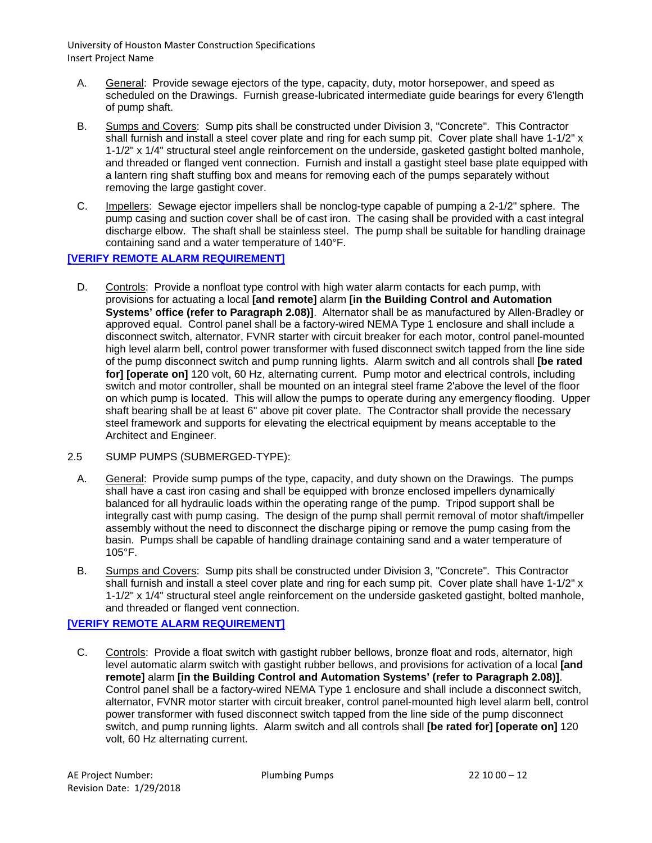- A. General: Provide sewage ejectors of the type, capacity, duty, motor horsepower, and speed as scheduled on the Drawings. Furnish grease-lubricated intermediate guide bearings for every 6'length of pump shaft.
- B. Sumps and Covers: Sump pits shall be constructed under Division 3, "Concrete". This Contractor shall furnish and install a steel cover plate and ring for each sump pit. Cover plate shall have 1-1/2" x 1-1/2" x 1/4" structural steel angle reinforcement on the underside, gasketed gastight bolted manhole, and threaded or flanged vent connection. Furnish and install a gastight steel base plate equipped with a lantern ring shaft stuffing box and means for removing each of the pumps separately without removing the large gastight cover.
- C. Impellers: Sewage ejector impellers shall be nonclog-type capable of pumping a 2-1/2" sphere. The pump casing and suction cover shall be of cast iron. The casing shall be provided with a cast integral discharge elbow. The shaft shall be stainless steel. The pump shall be suitable for handling drainage containing sand and a water temperature of 140°F.

# **[VERIFY REMOTE ALARM REQUIREMENT]**

- D. Controls: Provide a nonfloat type control with high water alarm contacts for each pump, with provisions for actuating a local **[and remote]** alarm **[in the Building Control and Automation Systems' office (refer to Paragraph 2.08)]**. Alternator shall be as manufactured by Allen-Bradley or approved equal. Control panel shall be a factory-wired NEMA Type 1 enclosure and shall include a disconnect switch, alternator, FVNR starter with circuit breaker for each motor, control panel-mounted high level alarm bell, control power transformer with fused disconnect switch tapped from the line side of the pump disconnect switch and pump running lights. Alarm switch and all controls shall **[be rated for] [operate on]** 120 volt, 60 Hz, alternating current. Pump motor and electrical controls, including switch and motor controller, shall be mounted on an integral steel frame 2'above the level of the floor on which pump is located. This will allow the pumps to operate during any emergency flooding. Upper shaft bearing shall be at least 6" above pit cover plate. The Contractor shall provide the necessary steel framework and supports for elevating the electrical equipment by means acceptable to the Architect and Engineer.
- 2.5 SUMP PUMPS (SUBMERGED-TYPE):
	- A. General: Provide sump pumps of the type, capacity, and duty shown on the Drawings. The pumps shall have a cast iron casing and shall be equipped with bronze enclosed impellers dynamically balanced for all hydraulic loads within the operating range of the pump. Tripod support shall be integrally cast with pump casing. The design of the pump shall permit removal of motor shaft/impeller assembly without the need to disconnect the discharge piping or remove the pump casing from the basin. Pumps shall be capable of handling drainage containing sand and a water temperature of 105°F.
	- B. Sumps and Covers: Sump pits shall be constructed under Division 3, "Concrete". This Contractor shall furnish and install a steel cover plate and ring for each sump pit. Cover plate shall have 1-1/2" x 1-1/2" x 1/4" structural steel angle reinforcement on the underside gasketed gastight, bolted manhole, and threaded or flanged vent connection.

# **[VERIFY REMOTE ALARM REQUIREMENT]**

C. Controls: Provide a float switch with gastight rubber bellows, bronze float and rods, alternator, high level automatic alarm switch with gastight rubber bellows, and provisions for activation of a local **[and remote]** alarm **[in the Building Control and Automation Systems' (refer to Paragraph 2.08)]**. Control panel shall be a factory-wired NEMA Type 1 enclosure and shall include a disconnect switch, alternator, FVNR motor starter with circuit breaker, control panel-mounted high level alarm bell, control power transformer with fused disconnect switch tapped from the line side of the pump disconnect switch, and pump running lights. Alarm switch and all controls shall **[be rated for] [operate on]** 120 volt, 60 Hz alternating current.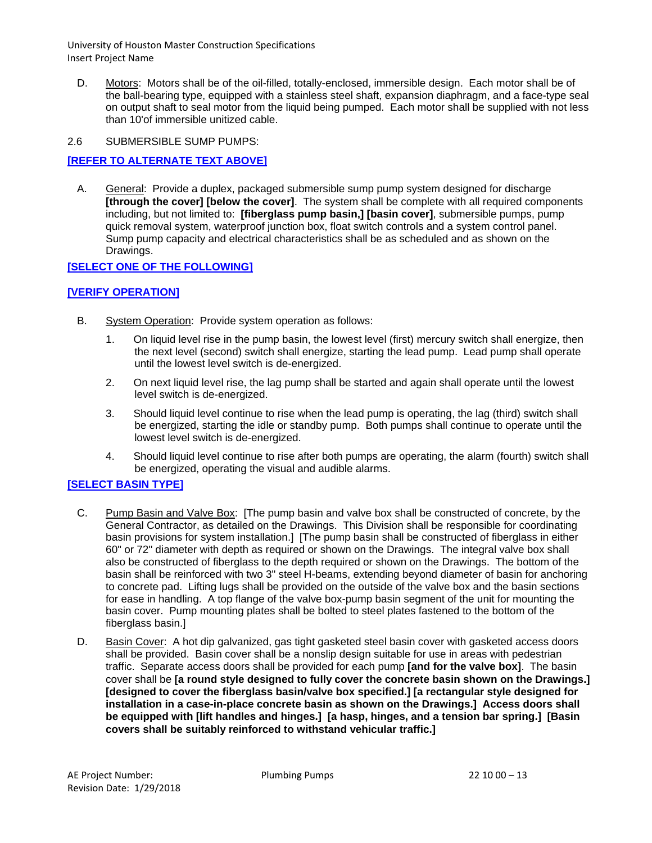D. Motors: Motors shall be of the oil-filled, totally-enclosed, immersible design. Each motor shall be of the ball-bearing type, equipped with a stainless steel shaft, expansion diaphragm, and a face-type seal on output shaft to seal motor from the liquid being pumped. Each motor shall be supplied with not less than 10'of immersible unitized cable.

## 2.6 SUBMERSIBLE SUMP PUMPS:

# **[REFER TO ALTERNATE TEXT ABOVE]**

A. General: Provide a duplex, packaged submersible sump pump system designed for discharge **[through the cover] [below the cover]**. The system shall be complete with all required components including, but not limited to: **[fiberglass pump basin,] [basin cover]**, submersible pumps, pump quick removal system, waterproof junction box, float switch controls and a system control panel. Sump pump capacity and electrical characteristics shall be as scheduled and as shown on the Drawings.

# **[SELECT ONE OF THE FOLLOWING]**

## **[VERIFY OPERATION]**

- B. System Operation: Provide system operation as follows:
	- 1. On liquid level rise in the pump basin, the lowest level (first) mercury switch shall energize, then the next level (second) switch shall energize, starting the lead pump. Lead pump shall operate until the lowest level switch is de-energized.
	- 2. On next liquid level rise, the lag pump shall be started and again shall operate until the lowest level switch is de-energized.
	- 3. Should liquid level continue to rise when the lead pump is operating, the lag (third) switch shall be energized, starting the idle or standby pump. Both pumps shall continue to operate until the lowest level switch is de-energized.
	- 4. Should liquid level continue to rise after both pumps are operating, the alarm (fourth) switch shall be energized, operating the visual and audible alarms.

#### **[SELECT BASIN TYPE]**

- C. Pump Basin and Valve Box: [The pump basin and valve box shall be constructed of concrete, by the General Contractor, as detailed on the Drawings. This Division shall be responsible for coordinating basin provisions for system installation.] [The pump basin shall be constructed of fiberglass in either 60" or 72" diameter with depth as required or shown on the Drawings. The integral valve box shall also be constructed of fiberglass to the depth required or shown on the Drawings. The bottom of the basin shall be reinforced with two 3" steel H-beams, extending beyond diameter of basin for anchoring to concrete pad. Lifting lugs shall be provided on the outside of the valve box and the basin sections for ease in handling. A top flange of the valve box-pump basin segment of the unit for mounting the basin cover. Pump mounting plates shall be bolted to steel plates fastened to the bottom of the fiberglass basin.]
- D. Basin Cover: A hot dip galvanized, gas tight gasketed steel basin cover with gasketed access doors shall be provided. Basin cover shall be a nonslip design suitable for use in areas with pedestrian traffic. Separate access doors shall be provided for each pump **[and for the valve box]**. The basin cover shall be **[a round style designed to fully cover the concrete basin shown on the Drawings.] [designed to cover the fiberglass basin/valve box specified.] [a rectangular style designed for installation in a case-in-place concrete basin as shown on the Drawings.] Access doors shall be equipped with [lift handles and hinges.] [a hasp, hinges, and a tension bar spring.] [Basin covers shall be suitably reinforced to withstand vehicular traffic.]**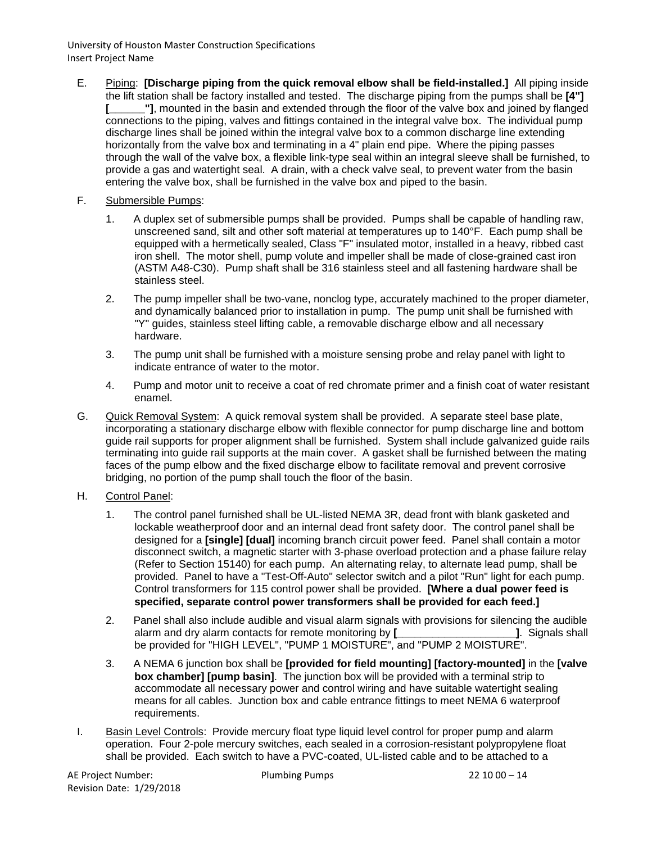- E. Piping: **[Discharge piping from the quick removal elbow shall be field-installed.]** All piping inside the lift station shall be factory installed and tested. The discharge piping from the pumps shall be **[4"] [\_\_\_\_\_\_"]**, mounted in the basin and extended through the floor of the valve box and joined by flanged connections to the piping, valves and fittings contained in the integral valve box. The individual pump discharge lines shall be joined within the integral valve box to a common discharge line extending horizontally from the valve box and terminating in a 4" plain end pipe. Where the piping passes through the wall of the valve box, a flexible link-type seal within an integral sleeve shall be furnished, to provide a gas and watertight seal. A drain, with a check valve seal, to prevent water from the basin entering the valve box, shall be furnished in the valve box and piped to the basin.
- F. Submersible Pumps:
	- 1. A duplex set of submersible pumps shall be provided. Pumps shall be capable of handling raw, unscreened sand, silt and other soft material at temperatures up to 140°F. Each pump shall be equipped with a hermetically sealed, Class "F" insulated motor, installed in a heavy, ribbed cast iron shell. The motor shell, pump volute and impeller shall be made of close-grained cast iron (ASTM A48-C30). Pump shaft shall be 316 stainless steel and all fastening hardware shall be stainless steel.
	- 2. The pump impeller shall be two-vane, nonclog type, accurately machined to the proper diameter, and dynamically balanced prior to installation in pump. The pump unit shall be furnished with "Y" guides, stainless steel lifting cable, a removable discharge elbow and all necessary hardware.
	- 3. The pump unit shall be furnished with a moisture sensing probe and relay panel with light to indicate entrance of water to the motor.
	- 4. Pump and motor unit to receive a coat of red chromate primer and a finish coat of water resistant enamel.
- G. Quick Removal System: A quick removal system shall be provided. A separate steel base plate, incorporating a stationary discharge elbow with flexible connector for pump discharge line and bottom guide rail supports for proper alignment shall be furnished. System shall include galvanized guide rails terminating into guide rail supports at the main cover. A gasket shall be furnished between the mating faces of the pump elbow and the fixed discharge elbow to facilitate removal and prevent corrosive bridging, no portion of the pump shall touch the floor of the basin.
- H. Control Panel:
	- 1. The control panel furnished shall be UL-listed NEMA 3R, dead front with blank gasketed and lockable weatherproof door and an internal dead front safety door. The control panel shall be designed for a **[single] [dual]** incoming branch circuit power feed. Panel shall contain a motor disconnect switch, a magnetic starter with 3-phase overload protection and a phase failure relay (Refer to Section 15140) for each pump. An alternating relay, to alternate lead pump, shall be provided. Panel to have a "Test-Off-Auto" selector switch and a pilot "Run" light for each pump. Control transformers for 115 control power shall be provided. **[Where a dual power feed is specified, separate control power transformers shall be provided for each feed.]**
	- 2. Panel shall also include audible and visual alarm signals with provisions for silencing the audible alarm and dry alarm contacts for remote monitoring by **[**  $\qquad \qquad$  **]**. Signals shall be provided for "HIGH LEVEL", "PUMP 1 MOISTURE", and "PUMP 2 MOISTURE".
	- 3. A NEMA 6 junction box shall be **[provided for field mounting] [factory-mounted]** in the **[valve box chamber] [pump basin]**. The junction box will be provided with a terminal strip to accommodate all necessary power and control wiring and have suitable watertight sealing means for all cables. Junction box and cable entrance fittings to meet NEMA 6 waterproof requirements.
- I. Basin Level Controls: Provide mercury float type liquid level control for proper pump and alarm operation. Four 2-pole mercury switches, each sealed in a corrosion-resistant polypropylene float shall be provided. Each switch to have a PVC-coated, UL-listed cable and to be attached to a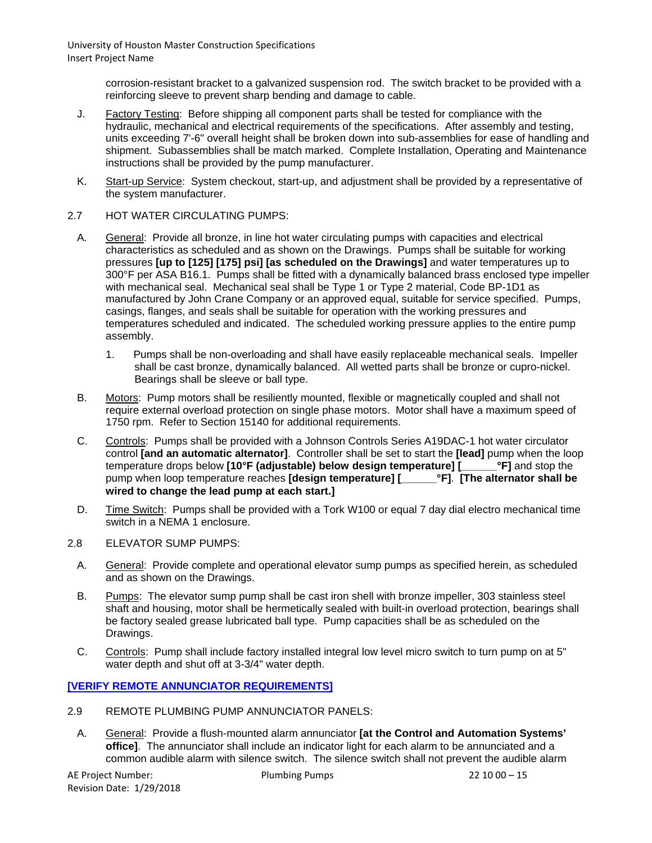> corrosion-resistant bracket to a galvanized suspension rod. The switch bracket to be provided with a reinforcing sleeve to prevent sharp bending and damage to cable.

- J. Factory Testing: Before shipping all component parts shall be tested for compliance with the hydraulic, mechanical and electrical requirements of the specifications. After assembly and testing, units exceeding 7'-6" overall height shall be broken down into sub-assemblies for ease of handling and shipment. Subassemblies shall be match marked. Complete Installation, Operating and Maintenance instructions shall be provided by the pump manufacturer.
- K. Start-up Service: System checkout, start-up, and adjustment shall be provided by a representative of the system manufacturer.
- 2.7 HOT WATER CIRCULATING PUMPS:
	- A. General: Provide all bronze, in line hot water circulating pumps with capacities and electrical characteristics as scheduled and as shown on the Drawings. Pumps shall be suitable for working pressures **[up to [125] [175] psi] [as scheduled on the Drawings]** and water temperatures up to 300°F per ASA B16.1. Pumps shall be fitted with a dynamically balanced brass enclosed type impeller with mechanical seal. Mechanical seal shall be Type 1 or Type 2 material, Code BP-1D1 as manufactured by John Crane Company or an approved equal, suitable for service specified. Pumps, casings, flanges, and seals shall be suitable for operation with the working pressures and temperatures scheduled and indicated. The scheduled working pressure applies to the entire pump assembly.
		- 1. Pumps shall be non-overloading and shall have easily replaceable mechanical seals. Impeller shall be cast bronze, dynamically balanced. All wetted parts shall be bronze or cupro-nickel. Bearings shall be sleeve or ball type.
	- B. Motors: Pump motors shall be resiliently mounted, flexible or magnetically coupled and shall not require external overload protection on single phase motors. Motor shall have a maximum speed of 1750 rpm. Refer to Section 15140 for additional requirements.
	- C. Controls: Pumps shall be provided with a Johnson Controls Series A19DAC-1 hot water circulator control **[and an automatic alternator]**. Controller shall be set to start the **[lead]** pump when the loop temperature drops below **[10°F (adjustable) below design temperature] [\_\_\_\_\_\_°F]** and stop the pump when loop temperature reaches **[design temperature] [\_\_\_\_\_\_°F]**. **[The alternator shall be wired to change the lead pump at each start.]**
	- D. Time Switch: Pumps shall be provided with a Tork W100 or equal 7 day dial electro mechanical time switch in a NEMA 1 enclosure.
- 2.8 ELEVATOR SUMP PUMPS:
	- A. General: Provide complete and operational elevator sump pumps as specified herein, as scheduled and as shown on the Drawings.
	- B. Pumps: The elevator sump pump shall be cast iron shell with bronze impeller, 303 stainless steel shaft and housing, motor shall be hermetically sealed with built-in overload protection, bearings shall be factory sealed grease lubricated ball type. Pump capacities shall be as scheduled on the Drawings.
	- C. Controls: Pump shall include factory installed integral low level micro switch to turn pump on at 5" water depth and shut off at 3-3/4" water depth.

**[VERIFY REMOTE ANNUNCIATOR REQUIREMENTS]**

- 2.9 REMOTE PLUMBING PUMP ANNUNCIATOR PANELS:
- A. General: Provide a flush-mounted alarm annunciator **[at the Control and Automation Systems' office]**. The annunciator shall include an indicator light for each alarm to be annunciated and a common audible alarm with silence switch. The silence switch shall not prevent the audible alarm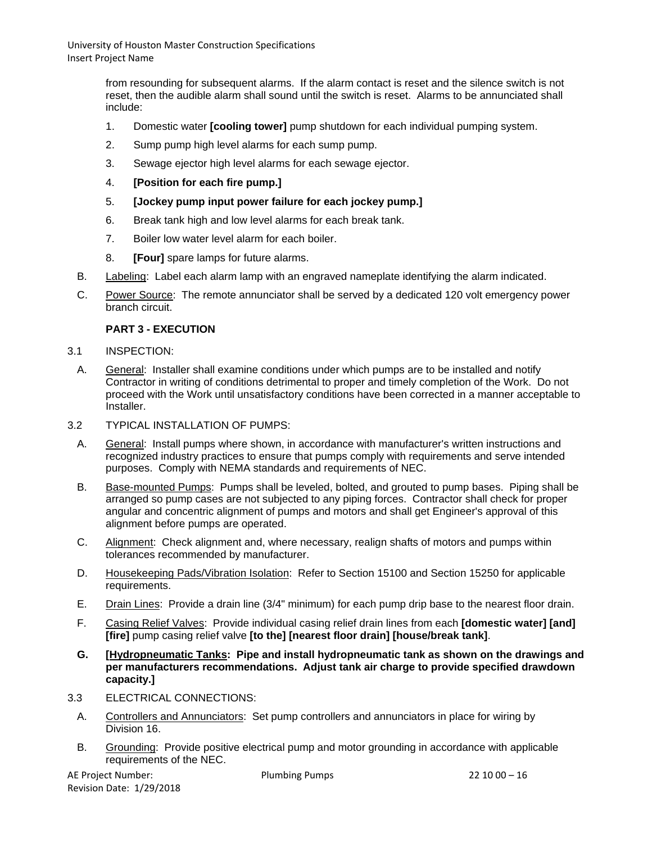> from resounding for subsequent alarms. If the alarm contact is reset and the silence switch is not reset, then the audible alarm shall sound until the switch is reset. Alarms to be annunciated shall include:

- 1. Domestic water **[cooling tower]** pump shutdown for each individual pumping system.
- 2. Sump pump high level alarms for each sump pump.
- 3. Sewage ejector high level alarms for each sewage ejector.
- 4. **[Position for each fire pump.]**
- 5. **[Jockey pump input power failure for each jockey pump.]**
- 6. Break tank high and low level alarms for each break tank.
- 7. Boiler low water level alarm for each boiler.
- 8. **[Four]** spare lamps for future alarms.
- B. Labeling: Label each alarm lamp with an engraved nameplate identifying the alarm indicated.
- C. Power Source: The remote annunciator shall be served by a dedicated 120 volt emergency power branch circuit.

## **PART 3 - EXECUTION**

- 3.1 INSPECTION:
- A. General: Installer shall examine conditions under which pumps are to be installed and notify Contractor in writing of conditions detrimental to proper and timely completion of the Work. Do not proceed with the Work until unsatisfactory conditions have been corrected in a manner acceptable to Installer.
- 3.2 TYPICAL INSTALLATION OF PUMPS:
	- A. General: Install pumps where shown, in accordance with manufacturer's written instructions and recognized industry practices to ensure that pumps comply with requirements and serve intended purposes. Comply with NEMA standards and requirements of NEC.
	- B. Base-mounted Pumps: Pumps shall be leveled, bolted, and grouted to pump bases. Piping shall be arranged so pump cases are not subjected to any piping forces. Contractor shall check for proper angular and concentric alignment of pumps and motors and shall get Engineer's approval of this alignment before pumps are operated.
	- C. Alignment: Check alignment and, where necessary, realign shafts of motors and pumps within tolerances recommended by manufacturer.
	- D. Housekeeping Pads/Vibration Isolation: Refer to Section 15100 and Section 15250 for applicable requirements.
	- E. Drain Lines: Provide a drain line (3/4" minimum) for each pump drip base to the nearest floor drain.
	- F. Casing Relief Valves: Provide individual casing relief drain lines from each **[domestic water] [and] [fire]** pump casing relief valve **[to the] [nearest floor drain] [house/break tank]**.
	- **G. [Hydropneumatic Tanks: Pipe and install hydropneumatic tank as shown on the drawings and per manufacturers recommendations. Adjust tank air charge to provide specified drawdown capacity.]**
- 3.3 ELECTRICAL CONNECTIONS:
	- A. Controllers and Annunciators: Set pump controllers and annunciators in place for wiring by Division 16.
	- B. Grounding: Provide positive electrical pump and motor grounding in accordance with applicable requirements of the NEC.

AE Project Number: 22 10 00 – 16 Revision Date: 1/29/2018